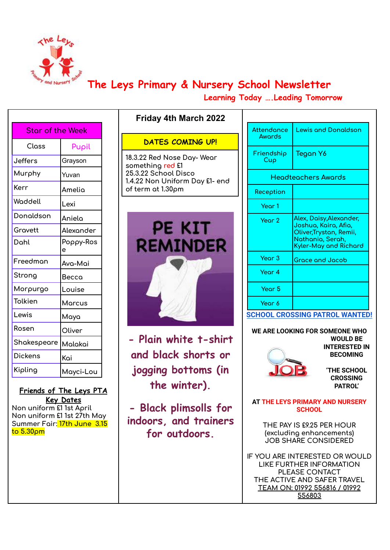

## **The Leys Primary & Nursery School Newsletter**

**Learning Today ….Leading Tomorrow**

| <b>Star of the Week</b> |                |  |  |  |
|-------------------------|----------------|--|--|--|
| Closs                   | Pupil          |  |  |  |
| Jeffers                 | Grayson        |  |  |  |
| Murphy                  | Yuvan          |  |  |  |
| Kerr                    | Amelia         |  |  |  |
| Waddell                 | Lexi           |  |  |  |
| Donaldson               | Aniela         |  |  |  |
| Gravett                 | Alexander      |  |  |  |
| Dohl                    | Poppy-Ros<br>e |  |  |  |
| Freedman                | Ava-Mai        |  |  |  |
| Strong                  | Becca          |  |  |  |
| Morpurgo                | Louise         |  |  |  |
| Tolkien                 | Marcus         |  |  |  |
| Lewis                   | Maya           |  |  |  |
| Rosen                   | Oliver         |  |  |  |
| Shakespeare             | Malakai        |  |  |  |
| Dickens                 | Kai            |  |  |  |
| Kipling                 | Mayci-Lou      |  |  |  |

**Friends of The Leys PTA Key Dates Non uniform £1 1st April Non uniform £1 1st 27th May Summer Fair: 17th June 3.15 to 5.30pm**

### **DATES COMING UP!**

**Friday 4th March 2022**

**18.3.22 Red Nose Day- Wear something red £1 25.3.22 School Disco 1.4.22 Non Uniform Day £1- end of term at 1.30pm**



**- Plain white t-shirt and black shorts or jogging bottoms (in the winter).**

**- Black plimsolls for indoors, and trainers for outdoors.**

| Attendance<br>Awords | <b>Lewis and Donaldson</b>                                                                                                    |
|----------------------|-------------------------------------------------------------------------------------------------------------------------------|
| Friendship<br>Cup    | Tegan Y6                                                                                                                      |
|                      | Headteachers Awards                                                                                                           |
| Reception            |                                                                                                                               |
| Year 1               |                                                                                                                               |
| Year 2               | Alex, Daisy,Alexander,<br>Joshua, Kaira, Afia,<br>Oliver, Trystan, Remii,<br>Nathania, Serah,<br><b>Kyler-May and Richard</b> |
| Year <sub>3</sub>    | <b>Grace and Jacob</b>                                                                                                        |
| Year 4               |                                                                                                                               |
| Year 5               |                                                                                                                               |
| Year 6               |                                                                                                                               |

**SCHOOL CROSSING PATROL WANTED!**

**WE ARE LOOKING FOR SOMEONE WHO WOULD BE INTERESTED IN BECOMING**



**'THE SCHOOL CROSSING**

**PATROL'**

**AT THE LEYS PRIMARY AND NURSERY SCHOOL**

**THE PAY IS £9.25 PER HOUR (excluding enhancements) JOB SHARE CONSIDERED**

**IF YOU ARE INTERESTED OR WOULD LIKE FURTHER INFORMATION PLEASE CONTACT THE ACTIVE AND SAFER TRAVEL TEAM ON: 01992 556816 / 01992 556803**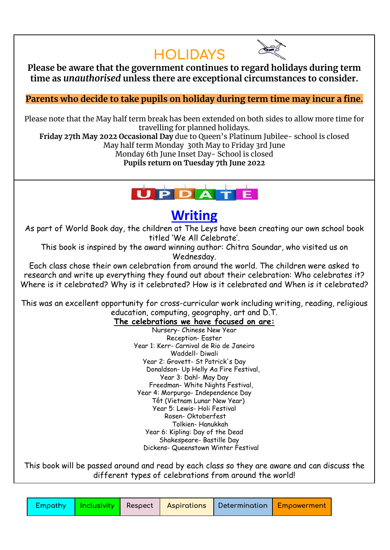## **HOLIDAYS**



**Please be aware that the government continues to regard holidays during term time as** *unauthorised* **unless there are exceptional circumstances to consider.**

**Parents who decide to take pupils on holiday during term time may incur a fine.**

Please note that the May half term break has been extended on both sides to allow more time for travelling for planned holidays.

**Friday 27th May 2022 Occasional Day** due to Queen's Platinum Jubilee- school is closed May half term Monday 30th May to Friday 3rd June

Monday 6th June Inset Day- School is closed

**Pupils return on Tuesday 7th June 2022**



## **Writing**

As part of World Book day, the children at The Leys have been creating our own school book titled 'We All Celebrate'.

This book is inspired by the award winning author: Chitra Soundar, who visited us on Wednesday.

Each class chose their own celebration from around the world. The children were asked to research and write up everything they found out about their celebration: Who celebrates it? Where is it celebrated? Why is it celebrated? How is it celebrated and When is it celebrated?

This was an excellent opportunity for cross-curricular work including writing, reading, religious education, computing, geography, art and D.T.

### **The celebrations we have focused on are:**

Nursery- Chinese New Year Reception- Easter Year 1: Kerr- Carnival de Rio de Janeiro Waddell- Diwali Year 2: Gravett- St Patrick's Day Donaldson- Up Helly Aa Fire Festival, Year 3: Dahl- May Day Freedman- White Nights Festival, Year 4: Morpurgo- Independence Day Tết (Vietnam Lunar New Year) Year 5: Lewis- Holi Festival Rosen- Oktoberfest Tolkien- Hanukkah Year 6: Kipling: Day of the Dead Shakespeare- Bastille Day Dickens- Queenstown Winter Festival

This book will be passed around and read by each class so they are aware and can discuss the different types of celebrations from around the world!

|  |  | <b>Empathy   Inclusivity  </b> Respect   Aspirations   Determination   Empowerment |  |
|--|--|------------------------------------------------------------------------------------|--|
|  |  |                                                                                    |  |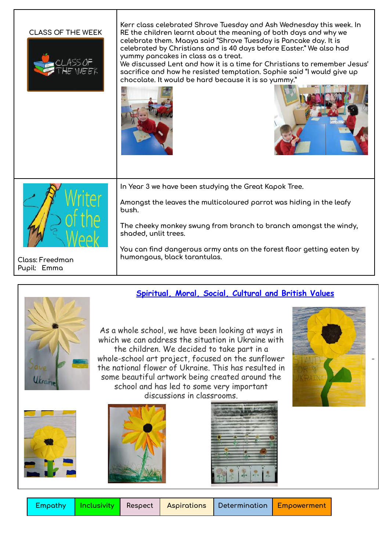#### **CLASS OF THE WEEK**



**Kerr class celebrated Shrove Tuesday and Ash Wednesday this week. In RE the children learnt about the meaning of both days and why we celebrate them. Maaya said "Shrove Tuesday is Pancake day. It is celebrated by Christians and is 40 days before Easter." We also had yummy pancakes in class as a treat.**

**We discussed Lent and how it is a time for Christians to remember Jesus' sacrifice and how he resisted temptation. Sophie said "I would give up chocolate. It would be hard because it is so yummy."**







**Class: Freedman Pupil: Emma**

**In Year 3 we have been studying the Great Kapok Tree.**

**Amongst the leaves the multicoloured parrot was hiding in the leafy bush.**

**The cheeky monkey swung from branch to branch amongst the windy, shaded, unlit trees.**

**You can find dangerous army ants on the forest floor getting eaten by humongous, black tarantulas.**

### **Spiritual, Moral, Social, Cultural and British Values**



As a whole school, we have been looking at ways in which we can address the situation in Ukraine with the children. We decided to take part in a whole-school art project, focused on the sunflower the national flower of Ukraine. This has resulted in some beautiful artwork being created around the school and has led to some very important discussions in classrooms.









| npathy | In |  |
|--------|----|--|
|        |    |  |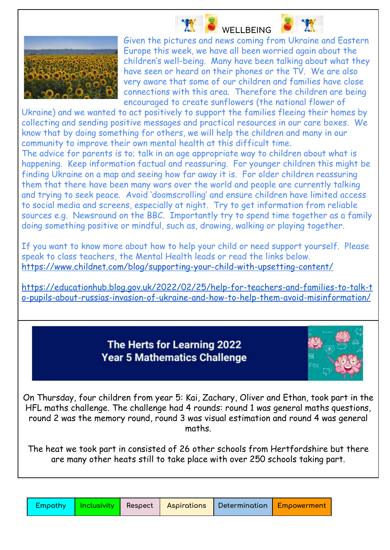

**WELLBEING** Given the pictures and news coming from Ukraine and Eastern Europe this week, we have all been worried again about the children's well-being. Many have been talking about what they have seen or heard on their phones or the TV. We are also very aware that some of our children and families have close connections with this area. Therefore the children are being encouraged to create sunflowers (the national flower of

Ukraine) and we wanted to act positively to support the families fleeing their homes by collecting and sending positive messages and practical resources in our care boxes. We know that by doing something for others, we will help the children and many in our community to improve their own mental health at this difficult time.

The advice for parents is to; talk in an age appropriate way to children about what is happening. Keep information factual and reassuring. For younger children this might be finding Ukraine on a map and seeing how far away it is. For older children reassuring them that there have been many wars over the world and people are currently talking and trying to seek peace. Avoid 'doomscrolling' and ensure children have limited access to social media and screens, especially at night. Try to get information from reliable sources e.g. Newsround on the BBC. Importantly try to spend time together as a family doing something positive or mindful, such as, drawing, walking or playing together.

If you want to know more about how to help your child or need support yourself. Please speak to class teachers, the Mental Health leads or read the links below. <https://www.childnet.com/blog/supporting-your-child-with-upsetting-content/>

[https://educationhub.blog.gov.uk/2022/02/25/help-for-teachers-and-families-to-talk-t](https://educationhub.blog.gov.uk/2022/02/25/help-for-teachers-and-families-to-talk-to-pupils-about-russias-invasion-of-ukraine-and-how-to-help-them-avoid-misinformation/) [o-pupils-about-russias-invasion-of-ukraine-and-how-to-help-them-avoid-misinformation/](https://educationhub.blog.gov.uk/2022/02/25/help-for-teachers-and-families-to-talk-to-pupils-about-russias-invasion-of-ukraine-and-how-to-help-them-avoid-misinformation/)

### The Herts for Learning 2022 **Year 5 Mathematics Challenge**



On Thursday, four children from year 5: Kai, Zachary, Oliver and Ethan, took part in the HFL maths challenge. The challenge had 4 rounds: round 1 was general maths questions, round 2 was the memory round, round 3 was visual estimation and round 4 was general maths.

The heat we took part in consisted of 26 other schools from Hertfordshire but there are many other heats still to take place with over 250 schools taking part.

| Empathy | $\vert$ Inclus |
|---------|----------------|
|         |                |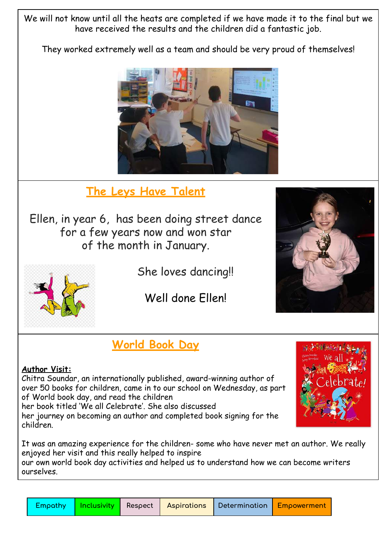We will not know until all the heats are completed if we have made it to the final but we have received the results and the children did a fantastic job.

They worked extremely well as a team and should be very proud of themselves!



## **The Leys Have Talent**

Ellen, in year 6, has been doing street dance for a few years now and won star of the month in January.



She loves dancing!!

Well done Ellen!

# **World Book Day**

### **Author Visit:**

Chitra Soundar, an internationally published, award-winning author of over 50 books for children, came in to our school on Wednesday, as part of World book day, and read the children her book titled 'We all Celebrate'. She also discussed her journey on becoming an author and completed book signing for the children.



our own world book day activities and helped us to understand how we can become writers ourselves.

| Empathy | $ $ Inclu |
|---------|-----------|
|         |           |

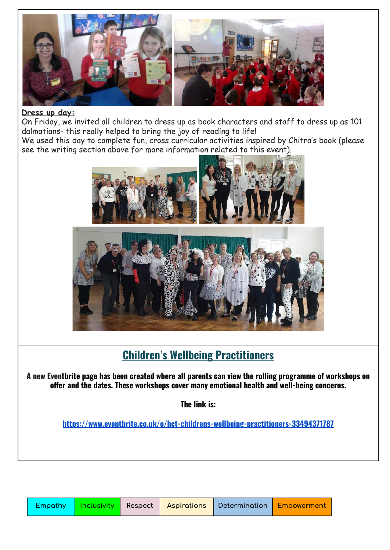

### **Dress up day:**

On Friday, we invited all children to dress up as book characters and staff to dress up as 101 dalmatians- this really helped to bring the joy of reading to life!

We used this day to complete fun, cross curricular activities inspired by Chitra's book (please see the writing section above for more information related to this event).



## **Children's Wellbeing Practitioners**

A new Eventbrite page has been created where all parents can view the rolling programme of workshops on **offer and the dates. These workshops cover many emotional health and well-being concerns.**

**The link is:**

**<https://www.eventbrite.co.uk/o/hct-childrens-wellbeing-practitioners-33494371787>**

|  |  |  |  | Empathy   Inclusivity   Respect   Aspirations   Determination   Empowerment |  |
|--|--|--|--|-----------------------------------------------------------------------------|--|
|--|--|--|--|-----------------------------------------------------------------------------|--|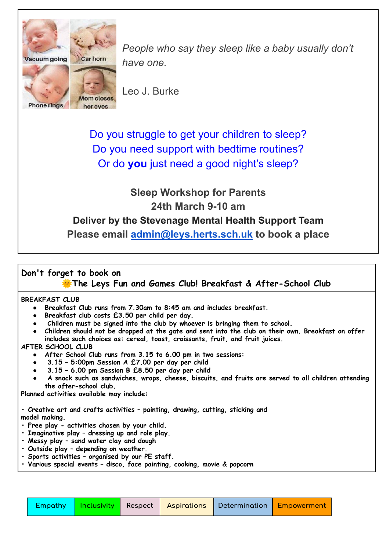

*People who say they sleep like a baby usually don't have one.*

Leo J. Burke

Do you struggle to get your children to sleep? Do you need support with bedtime routines? Or do **you** just need a good night's sleep?

## **Sleep Workshop for Parents 24th March 9-10 am Deliver by the Stevenage Mental Health Support Team Please email [admin@leys.herts.sch.uk](mailto:admin@leys.herts.sch.uk) to book a place**

### **Don't forget to book on**

**The Leys Fun and Games Club! Breakfast & After-School Club**

### **BREAKFAST CLUB**

- **● Breakfast Club runs from 7.30am to 8:45 am and includes breakfast.**
- **● Breakfast club costs £3.50 per child per day.**
- **● Children must be signed into the club by whoever is bringing them to school.**
- Children should not be dropped at the gate and sent into the club on their own. Breakfast on offer **includes such choices as: cereal, toast, croissants, fruit, and fruit juices.**

### **AFTER SCHOOL CLUB**

- **● After School Club runs from 3.15 to 6.00 pm in two sessions:**
- **● 3.15 – 5:00pm Session A £7.00 per day per child**
- **● 3.15 – 6.00 pm Session B £8.50 per day per child**
- **● A snack such as sandwiches, wraps, cheese, biscuits, and fruits are served to all children attending the after-school club.**

**Planned activities available may include:**

**• Creative art and crafts activities – painting, drawing, cutting, sticking and model making.**

- **• Free play - activities chosen by your child.**
- **• Imaginative play – dressing up and role play.**
- **• Messy play – sand water clay and dough**
- **• Outside play – depending on weather.**
- **• Sports activities – organised by our PE staff.**
- **• Various special events – disco, face painting, cooking, movie & popcorn**

|  |  |  |  |  | Empathy   Inclusivity   Respect   Aspirations   Determination   Empowerment |
|--|--|--|--|--|-----------------------------------------------------------------------------|
|--|--|--|--|--|-----------------------------------------------------------------------------|